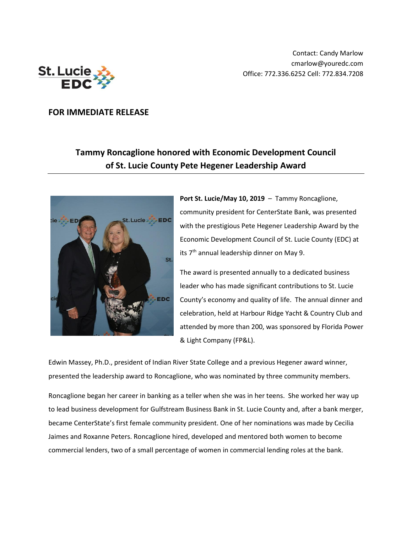

Contact: Candy Marlow cmarlow@youredc.com Office: 772.336.6252 Cell: 772.834.7208

## **FOR IMMEDIATE RELEASE**

## **Tammy Roncaglione honored with Economic Development Council of St. Lucie County Pete Hegener Leadership Award**



**Port St. Lucie/May 10, 2019** – Tammy Roncaglione, community president for CenterState Bank, was presented with the prestigious Pete Hegener Leadership Award by the Economic Development Council of St. Lucie County (EDC) at its 7<sup>th</sup> annual leadership dinner on May 9.

The award is presented annually to a dedicated business leader who has made significant contributions to St. Lucie County's economy and quality of life. The annual dinner and celebration, held at Harbour Ridge Yacht & Country Club and attended by more than 200, was sponsored by Florida Power & Light Company (FP&L).

Edwin Massey, Ph.D., president of Indian River State College and a previous Hegener award winner, presented the leadership award to Roncaglione, who was nominated by three community members.

Roncaglione began her career in banking as a teller when she was in her teens. She worked her way up to lead business development for Gulfstream Business Bank in St. Lucie County and, after a bank merger, became CenterState's first female community president. One of her nominations was made by Cecilia Jaimes and Roxanne Peters. Roncaglione hired, developed and mentored both women to become commercial lenders, two of a small percentage of women in commercial lending roles at the bank.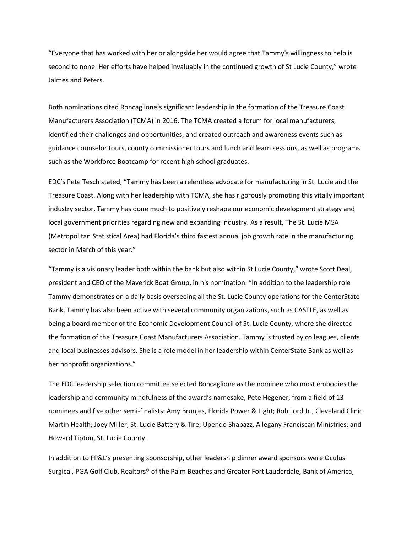"Everyone that has worked with her or alongside her would agree that Tammy's willingness to help is second to none. Her efforts have helped invaluably in the continued growth of St Lucie County," wrote Jaimes and Peters.

Both nominations cited Roncaglione's significant leadership in the formation of the Treasure Coast Manufacturers Association (TCMA) in 2016. The TCMA created a forum for local manufacturers, identified their challenges and opportunities, and created outreach and awareness events such as guidance counselor tours, county commissioner tours and lunch and learn sessions, as well as programs such as the Workforce Bootcamp for recent high school graduates.

EDC's Pete Tesch stated, "Tammy has been a relentless advocate for manufacturing in St. Lucie and the Treasure Coast. Along with her leadership with TCMA, she has rigorously promoting this vitally important industry sector. Tammy has done much to positively reshape our economic development strategy and local government priorities regarding new and expanding industry. As a result, The St. Lucie MSA (Metropolitan Statistical Area) had Florida's third fastest annual job growth rate in the manufacturing sector in March of this year."

"Tammy is a visionary leader both within the bank but also within St Lucie County," wrote Scott Deal, president and CEO of the Maverick Boat Group, in his nomination. "In addition to the leadership role Tammy demonstrates on a daily basis overseeing all the St. Lucie County operations for the CenterState Bank, Tammy has also been active with several community organizations, such as CASTLE, as well as being a board member of the Economic Development Council of St. Lucie County, where she directed the formation of the Treasure Coast Manufacturers Association. Tammy is trusted by colleagues, clients and local businesses advisors. She is a role model in her leadership within CenterState Bank as well as her nonprofit organizations."

The EDC leadership selection committee selected Roncaglione as the nominee who most embodies the leadership and community mindfulness of the award's namesake, Pete Hegener, from a field of 13 nominees and five other semi-finalists: Amy Brunjes, Florida Power & Light; Rob Lord Jr., Cleveland Clinic Martin Health; Joey Miller, St. Lucie Battery & Tire; Upendo Shabazz, Allegany Franciscan Ministries; and Howard Tipton, St. Lucie County.

In addition to FP&L's presenting sponsorship, other leadership dinner award sponsors were Oculus Surgical, PGA Golf Club, Realtors® of the Palm Beaches and Greater Fort Lauderdale, Bank of America,